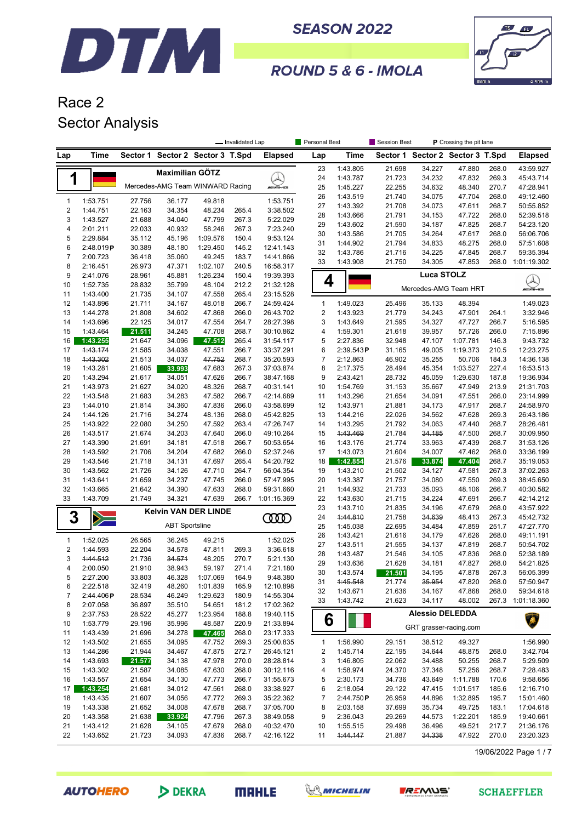



### **ROUND 5 & 6 - IMOLA**

## Race 2 Sector Analysis

|                              |                      |                  |                                  |                    | - Invalidated Lap |                        | <b>Personal Best</b>    |                      | Session Best     |                        | P Crossing the pit lane          |                |                        |
|------------------------------|----------------------|------------------|----------------------------------|--------------------|-------------------|------------------------|-------------------------|----------------------|------------------|------------------------|----------------------------------|----------------|------------------------|
| Lap                          | Time                 |                  | Sector 1 Sector 2 Sector 3 T.Spd |                    |                   | <b>Elapsed</b>         | Lap                     | <b>Time</b>          |                  |                        | Sector 1 Sector 2 Sector 3 T.Spd |                | <b>Elapsed</b>         |
|                              |                      |                  | Maximilian GÖTZ                  |                    |                   |                        | 23                      | 1:43.805             | 21.698           | 34.227                 | 47.880                           | 268.0          | 43:59.927              |
| 1                            |                      |                  |                                  |                    |                   |                        | 24                      | 1:43.787             | 21.723           | 34.232                 | 47.832                           | 269.3          | 45:43.714              |
|                              |                      |                  | Mercedes-AMG Team WINWARD Racing |                    |                   | <b><i>INNE</i></b>     | 25                      | 1:45.227             | 22.255           | 34.632                 | 48.340                           | 270.7          | 47:28.941              |
| $\mathbf{1}$                 | 1:53.751             | 27.756           | 36.177                           | 49.818             |                   | 1:53.751               | 26                      | 1:43.519             | 21.740           | 34.075                 | 47.704                           | 268.0          | 49:12.460              |
| $\overline{\mathbf{c}}$      | 1:44.751             | 22.163           | 34.354                           | 48.234             | 265.4             | 3:38.502               | 27                      | 1:43.392             | 21.708           | 34.073                 | 47.611                           | 268.7          | 50:55.852              |
| 3                            | 1:43.527             | 21.688           | 34.040                           | 47.799             | 267.3             | 5:22.029               | 28<br>29                | 1:43.666<br>1:43.602 | 21.791<br>21.590 | 34.153<br>34.187       | 47.722                           | 268.0<br>268.7 | 52:39.518<br>54:23.120 |
| 4                            | 2:01.211             | 22.033           | 40.932                           | 58.246             | 267.3             | 7:23.240               | 30                      | 1:43.586             | 21.705           | 34.264                 | 47.825<br>47.617                 | 268.0          | 56:06.706              |
| 5                            | 2:29.884             | 35.112           | 45.196                           | 1:09.576           | 150.4             | 9:53.124               | 31                      | 1:44.902             | 21.794           | 34.833                 | 48.275                           | 268.0          | 57:51.608              |
| 6                            | 2:48.019P            | 30.389           | 48.180                           | 1:29.450           | 145.2             | 12:41.143              | 32                      | 1:43.786             | 21.716           | 34.225                 | 47.845                           | 268.7          | 59:35.394              |
| $\overline{7}$               | 2:00.723             | 36.418           | 35.060                           | 49.245             | 183.7             | 14:41.866              | 33                      | 1:43.908             | 21.750           | 34.305                 | 47.853                           | 268.0          | 1:01:19.302            |
| 8<br>9                       | 2:16.451             | 26.973           | 47.371                           | 1:02.107           | 240.5             | 16:58.317              |                         |                      |                  | <b>Luca STOLZ</b>      |                                  |                |                        |
| 10                           | 2:41.076<br>1:52.735 | 28.961<br>28.832 | 45.881<br>35.799                 | 1:26.234<br>48.104 | 150.4<br>212.2    | 19:39.393<br>21:32.128 | 4                       |                      |                  |                        |                                  |                |                        |
| 11                           | 1:43.400             | 21.735           | 34.107                           | 47.558             | 265.4             | 23:15.528              |                         |                      |                  |                        | Mercedes-AMG Team HRT            |                | <i><b>MARING</b></i>   |
| 12                           | 1:43.896             | 21.711           | 34.167                           | 48.018             | 266.7             | 24:59.424              | $\mathbf{1}$            | 1:49.023             | 25.496           | 35.133                 | 48.394                           |                | 1:49.023               |
| 13                           | 1:44.278             | 21.808           | 34.602                           | 47.868             | 266.0             | 26:43.702              | $\overline{\mathbf{c}}$ | 1:43.923             | 21.779           | 34.243                 | 47.901                           | 264.1          | 3:32.946               |
| 14                           | 1:43.696             | 22.125           | 34.017                           | 47.554             | 264.7             | 28:27.398              | 3                       | 1:43.649             | 21.595           | 34.327                 | 47.727                           | 266.7          | 5:16.595               |
| 15                           | 1:43.464             | 21.511           | 34.245                           | 47.708             | 268.7             | 30:10.862              | 4                       | 1:59.301             | 21.618           | 39.957                 | 57.726                           | 266.0          | 7:15.896               |
| 16                           | 1:43.255             | 21.647           | 34.096                           | 47.512             | 265.4             | 31:54.117              | 5                       | 2:27.836             | 32.948           | 47.107                 | 1:07.781                         | 146.3          | 9:43.732               |
| 17                           | 1:43.174             | 21.585           | 34.038                           | 47.551             | 266.7             | 33:37.291              | 6                       | 2:39.543P            | 31.165           | 49.005                 | 1:19.373                         | 210.5          | 12:23.275              |
| 18                           | 4:43.302             | 21.513           | 34.037                           | 47.752             | 268.7             | 35:20.593              | $\overline{7}$          | 2:12.863             | 46.902           | 35.255                 | 50.706                           | 184.3          | 14:36.138              |
| 19                           | 1:43.281             | 21.605           | 33.993                           | 47.683             | 267.3             | 37:03.874              | 8                       | 2:17.375             | 28.494           | 45.354                 | 1:03.527                         | 227.4          | 16:53.513              |
| 20                           | 1:43.294             | 21.617           | 34.051                           | 47.626             | 266.7             | 38:47.168              | 9                       | 2:43.421             | 28.732           | 45.059                 | 1:29.630                         | 187.8          | 19:36.934              |
| 21                           | 1:43.973             | 21.627           | 34.020                           | 48.326             | 268.7             | 40:31.141              | 10                      | 1:54.769             | 31.153           | 35.667                 | 47.949                           | 213.9          | 21:31.703<br>23:14.999 |
| 22<br>23                     | 1:43.548<br>1:44.010 | 21.683<br>21.814 | 34.283<br>34.360                 | 47.582<br>47.836   | 266.7<br>266.0    | 42:14.689<br>43:58.699 | 11<br>12                | 1:43.296<br>1:43.971 | 21.654<br>21.881 | 34.091<br>34.173       | 47.551<br>47.917                 | 266.0<br>268.7 | 24:58.970              |
| 24                           | 1:44.126             | 21.716           | 34.274                           | 48.136             | 268.0             | 45:42.825              | 13                      | 1:44.216             | 22.026           | 34.562                 | 47.628                           | 269.3          | 26:43.186              |
| 25                           | 1:43.922             | 22.080           | 34.250                           | 47.592             | 263.4             | 47:26.747              | 14                      | 1:43.295             | 21.792           | 34.063                 | 47.440                           | 268.7          | 28:26.481              |
| 26                           | 1:43.517             | 21.674           | 34.203                           | 47.640             | 266.0             | 49:10.264              | 15                      | 4:43.469             | 21.784           | 34.185                 | 47.500                           | 268.7          | 30:09.950              |
| 27                           | 1:43.390             | 21.691           | 34.181                           | 47.518             | 266.7             | 50:53.654              | 16                      | 1:43.176             | 21.774           | 33.963                 | 47.439                           | 268.7          | 31:53.126              |
| 28                           | 1:43.592             | 21.706           | 34.204                           | 47.682             | 266.0             | 52:37.246              | 17                      | 1:43.073             | 21.604           | 34.007                 | 47.462                           | 268.0          | 33:36.199              |
| 29                           | 1:43.546             | 21.718           | 34.131                           | 47.697             | 265.4             | 54:20.792              | 18                      | 1:42.854             | 21.576           | 33.874                 | 47.404                           | 268.7          | 35:19.053              |
| 30                           | 1:43.562             | 21.726           | 34.126                           | 47.710             | 264.7             | 56:04.354              | 19                      | 1:43.210             | 21.502           | 34.127                 | 47.581                           | 267.3          | 37:02.263              |
| 31                           | 1:43.641             | 21.659           | 34.237                           | 47.745             | 266.0             | 57:47.995              | 20                      | 1:43.387             | 21.757           | 34.080                 | 47.550                           | 269.3          | 38:45.650              |
| 32                           | 1:43.665             | 21.642           | 34.390                           | 47.633             | 268.0             | 59:31.660              | 21                      | 1:44.932             | 21.733           | 35.093                 | 48.106                           | 266.7          | 40:30.582              |
| 33                           | 1:43.709             | 21.749           | 34.321                           | 47.639             | 266.7             | 1:01:15.369            | 22<br>23                | 1:43.630<br>1:43.710 | 21.715<br>21.835 | 34.224<br>34.196       | 47.691<br>47.679                 | 266.7<br>268.0 | 42:14.212<br>43:57.922 |
| 3                            |                      |                  | <b>Kelvin VAN DER LINDE</b>      |                    |                   | <b>COOD</b>            | 24                      | 4:44.810             | 21.758           | 34.639                 | 48.413                           | 267.3          | 45:42.732              |
|                              | $\sum$               |                  | <b>ABT Sportsline</b>            |                    |                   |                        | 25                      | 1:45.038             | 22.695           | 34.484                 | 47.859                           | 251.7          | 47:27.770              |
|                              |                      |                  |                                  |                    |                   |                        | 26                      | 1:43.421             | 21.616           | 34.179                 | 47.626                           | 268.0          | 49:11.191              |
| $\mathbf{1}$                 | 1:52.025             | 26.565           | 36.245                           | 49.215             |                   | 1:52.025               | 27                      | 1:43.511             | 21.555           | 34.137                 | 47.819                           | 268.7          | 50:54.702              |
| $\overline{\mathbf{c}}$<br>3 | 1:44.593<br>1:44.512 | 22.204<br>21.736 | 34.578<br>34.571                 | 47.811<br>48.205   | 269.3<br>270.7    | 3:36.618<br>5:21.130   | 28                      | 1:43.487             | 21.546           | 34.105                 | 47.836                           | 268.0          | 52:38.189              |
| $\overline{4}$               | 2:00.050             | 21.910           | 38.943                           | 59.197             | 271.4             | 7:21.180               | 29                      | 1:43.636             | 21.628           | 34.181                 | 47.827                           | 268.0          | 54:21.825              |
| 5                            | 2:27.200             | 33.803           | 46.328                           | 1:07.069           | 164.9             | 9:48.380               | 30                      | 1:43.574             | 21.501           | 34.195                 | 47.878                           | 267.3          | 56:05.399              |
| 6                            | 2:22.518             | 32.419           | 48.260                           | 1:01.839           | 165.9             | 12:10.898              | 31                      | 1:45.548             | 21.774           | 35.954                 | 47.820                           | 268.0          | 57:50.947              |
| 7                            | 2:44.406P            | 28.534           | 46.249                           | 1:29.623           | 180.9             | 14:55.304              | 32                      | 1:43.671             | 21.636           | 34.167                 | 47.868                           | 268.0          | 59:34.618              |
| 8                            | 2:07.058             | 36.897           | 35.510                           | 54.651             | 181.2             | 17:02.362              | 33                      | 1:43.742             | 21.623           | 34.117                 | 48.002                           |                | 267.3 1:01:18.360      |
| 9                            | 2:37.753             | 28.522           | 45.277                           | 1:23.954           | 188.8             | 19:40.115              |                         |                      |                  | <b>Alessio DELEDDA</b> |                                  |                |                        |
| 10                           | 1:53.779             | 29.196           | 35.996                           | 48.587             | 220.9             | 21:33.894              | 6                       |                      |                  | GRT grasser-racing.com |                                  |                |                        |
| 11                           | 1:43.439             | 21.696           | 34.278                           | 47.465             | 268.0             | 23:17.333              |                         |                      |                  |                        |                                  |                |                        |
| 12                           | 1:43.502             | 21.655           | 34.095                           | 47.752             | 269.3             | 25:00.835              | $\mathbf{1}$            | 1:56.990             | 29.151           | 38.512                 | 49.327                           |                | 1:56.990               |
| 13                           | 1:44.286             | 21.944           | 34.467                           | 47.875             | 272.7             | 26:45.121              | $\overline{\mathbf{c}}$ | 1:45.714             | 22.195           | 34.644                 | 48.875                           | 268.0          | 3:42.704               |
| 14                           | 1:43.693             | 21.577           | 34.138                           | 47.978             | 270.0             | 28:28.814              | 3                       | 1:46.805             | 22.062           | 34.488                 | 50.255                           | 268.7          | 5:29.509               |
| 15<br>16                     | 1:43.302<br>1:43.557 | 21.587<br>21.654 | 34.085<br>34.130                 | 47.630<br>47.773   | 268.0<br>266.7    | 30:12.116<br>31:55.673 | 4<br>5                  | 1:58.974<br>2:30.173 | 24.370<br>34.736 | 37.348<br>43.649       | 57.256<br>1:11.788               | 268.7<br>170.6 | 7:28.483<br>9:58.656   |
| 17                           | 1:43.254             | 21.681           | 34.012                           | 47.561             | 268.0             | 33:38.927              | 6                       | 2:18.054             | 29.122           | 47.415                 | 1:01.517                         | 185.6          | 12:16.710              |
| 18                           | 1:43.435             | 21.607           | 34.056                           | 47.772             | 269.3             | 35:22.362              | 7                       | 2:44.750P            | 26.959           | 44.896                 | 1:32.895                         | 195.7          | 15:01.460              |
| 19                           | 1:43.338             | 21.652           | 34.008                           | 47.678             | 268.7             | 37:05.700              | 8                       | 2:03.158             | 37.699           | 35.734                 | 49.725                           | 183.1          | 17:04.618              |
| 20                           | 1:43.358             | 21.638           | 33.924                           | 47.796             | 267.3             | 38:49.058              | 9                       | 2:36.043             | 29.269           | 44.573                 | 1:22.201                         | 185.9          | 19:40.661              |
| 21                           | 1:43.412             | 21.628           | 34.105                           | 47.679             | 268.0             | 40:32.470              | 10                      | 1:55.515             | 29.498           | 36.496                 | 49.521                           | 217.7          | 21:36.176              |
| 22                           | 1:43.652             | 21.723           | 34.093                           | 47.836             | 268.7             | 42:16.122              | 11                      | 1:44.147             | 21.887           | 34.338                 | 47.922                           | 270.0          | 23:20.323              |

19/06/2022 Page 1 / 7

**AUTOHERO** 

DEKRA





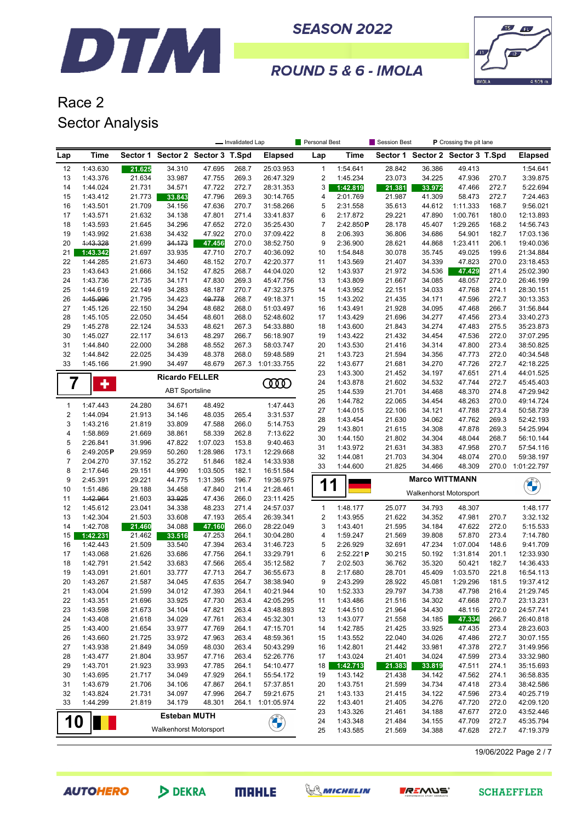



### ROUND 5 & 6 - IMOLA

## Race 2 Sector Analysis

|                         |                       |                  |                        |                         | - Invalidated Lap |                        | Personal Best       |                      | Session Best     |                        | P Crossing the pit lane |                |                        |
|-------------------------|-----------------------|------------------|------------------------|-------------------------|-------------------|------------------------|---------------------|----------------------|------------------|------------------------|-------------------------|----------------|------------------------|
| Lap                     | Time                  | Sector 1         |                        | Sector 2 Sector 3 T.Spd |                   | <b>Elapsed</b>         | Lap                 | Time                 | Sector 1         |                        | Sector 2 Sector 3 T.Spd |                | <b>Elapsed</b>         |
| 12                      | 1:43.630              | 21.625           | 34.310                 | 47.695                  | 268.7             | 25:03.953              | $\mathbf{1}$        | 1:54.641             | 28.842           | 36.386                 | 49.413                  |                | 1:54.641               |
| 13                      | 1:43.376              | 21.634           | 33.987                 | 47.755                  | 269.3             | 26:47.329              | $\overline{2}$      | 1:45.234             | 23.073           | 34.225                 | 47.936                  | 270.7          | 3:39.875               |
| 14                      | 1:44.024              | 21.731           | 34.571                 | 47.722                  | 272.7             | 28:31.353              | 3                   | 1:42.819             | 21.381           | 33.972                 | 47.466                  | 272.7          | 5:22.694               |
| 15                      | 1:43.412              | 21.773           | 33.843                 | 47.796                  | 269.3             | 30:14.765              | 4                   | 2:01.769             | 21.987           | 41.309                 | 58.473                  | 272.7          | 7:24.463               |
| 16                      | 1:43.501              | 21.709           | 34.156                 | 47.636                  | 270.7             | 31:58.266              | 5                   | 2:31.558             | 35.613           | 44.612                 | 1:11.333                | 168.7          | 9:56.021               |
| 17                      | 1:43.571              | 21.632           | 34.138                 | 47.801                  | 271.4             | 33:41.837              | 6                   | 2:17.872             | 29.221           | 47.890                 | 1:00.761                | 180.0          | 12:13.893              |
| 18                      | 1:43.593              | 21.645           | 34.296                 | 47.652                  | 272.0             | 35:25.430              | $\overline{7}$      | 2:42.850P            | 28.178           | 45.407                 | 1:29.265                | 168.2          | 14:56.743              |
| 19<br>20                | 1:43.992<br>1:43.328  | 21.638<br>21.699 | 34.432<br>34.173       | 47.922                  | 270.0<br>270.0    | 37:09.422<br>38:52.750 | 8<br>9              | 2:06.393<br>2:36.900 | 36.806<br>28.621 | 34.686<br>44.868       | 54.901<br>1:23.411      | 182.7<br>206.1 | 17:03.136<br>19:40.036 |
| 21                      | 1:43.342              | 21.697           | 33.935                 | 47.456<br>47.710        | 270.7             | 40:36.092              | 10                  | 1:54.848             | 30.078           | 35.745                 | 49.025                  | 199.6          | 21:34.884              |
| 22                      | 1:44.285              | 21.673           | 34.460                 | 48.152                  | 270.7             | 42:20.377              | 11                  | 1:43.569             | 21.407           | 34.339                 | 47.823                  | 270.0          | 23:18.453              |
| 23                      | 1:43.643              | 21.666           | 34.152                 | 47.825                  | 268.7             | 44:04.020              | 12                  | 1:43.937             | 21.972           | 34.536                 | 47.429                  | 271.4          | 25:02.390              |
| 24                      | 1:43.736              | 21.735           | 34.171                 | 47.830                  | 269.3             | 45:47.756              | 13                  | 1:43.809             | 21.667           | 34.085                 | 48.057                  | 272.0          | 26:46.199              |
| 25                      | 1:44.619              | 22.149           | 34.283                 | 48.187                  | 270.7             | 47:32.375              | 14                  | 1:43.952             | 22.151           | 34.033                 | 47.768                  | 274.1          | 28:30.151              |
| 26                      | 1:45.996              | 21.795           | 34.423                 | 49.778                  | 268.7             | 49:18.371              | 15                  | 1:43.202             | 21.435           | 34.171                 | 47.596                  | 272.7          | 30:13.353              |
| 27                      | 1:45.126              | 22.150           | 34.294                 | 48.682                  | 268.0             | 51:03.497              | 16                  | 1:43.491             | 21.928           | 34.095                 | 47.468                  | 266.7          | 31:56.844              |
| 28                      | 1:45.105              | 22.050           | 34.454                 | 48.601                  | 268.0             | 52:48.602              | 17                  | 1:43.429             | 21.696           | 34.277                 | 47.456                  | 273.4          | 33:40.273              |
| 29                      | 1:45.278              | 22.124           | 34.533                 | 48.621                  | 267.3             | 54:33.880              | 18                  | 1:43.600             | 21.843           | 34.274                 | 47.483                  | 275.5          | 35:23.873              |
| 30                      | 1:45.027              | 22.117           | 34.613                 | 48.297                  | 266.7             | 56:18.907              | 19                  | 1:43.422             | 21.432           | 34.454                 | 47.536                  | 272.0          | 37:07.295              |
| 31                      | 1:44.840              | 22.000           | 34.288                 | 48.552                  | 267.3             | 58:03.747              | 20                  | 1:43.530             | 21.416           | 34.314                 | 47.800                  | 273.4          | 38:50.825              |
| 32                      | 1:44.842              | 22.025           | 34.439                 | 48.378                  | 268.0             | 59:48.589              | 21                  | 1:43.723             | 21.594           | 34.356                 | 47.773                  | 272.0          | 40:34.548              |
| 33                      | 1:45.166              | 21.990           | 34.497                 | 48.679                  | 267.3             | 1:01:33.755            | 22<br>23            | 1:43.677             | 21.681           | 34.270                 | 47.726                  | 272.7          | 42:18.225              |
|                         |                       |                  | <b>Ricardo FELLER</b>  |                         |                   |                        | 24                  | 1:43.300<br>1:43.878 | 21.452<br>21.602 | 34.197<br>34.532       | 47.651<br>47.744        | 271.4<br>272.7 | 44:01.525<br>45:45.403 |
| 7                       | ٠                     |                  | <b>ABT Sportsline</b>  |                         |                   | ഝ                      | 25                  | 1:44.539             | 21.701           | 34.468                 | 48.370                  | 274.8          | 47:29.942              |
|                         |                       |                  |                        |                         |                   |                        | 26                  | 1:44.782             | 22.065           | 34.454                 | 48.263                  | 270.0          | 49:14.724              |
| 1                       | 1:47.443              | 24.280           | 34.671                 | 48.492                  |                   | 1:47.443               | 27                  | 1:44.015             | 22.106           | 34.121                 | 47.788                  | 273.4          | 50:58.739              |
| $\overline{\mathbf{c}}$ | 1:44.094              | 21.913           | 34.146                 | 48.035                  | 265.4             | 3:31.537               | 28                  | 1:43.454             | 21.630           | 34.062                 | 47.762                  | 269.3          | 52:42.193              |
| 3                       | 1:43.216              | 21.819           | 33.809                 | 47.588                  | 266.0             | 5:14.753               | 29                  | 1:43.801             | 21.615           | 34.308                 | 47.878                  | 269.3          | 54:25.994              |
| 4<br>5                  | 1:58.869              | 21.669           | 38.861                 | 58.339                  | 262.8             | 7:13.622               | 30                  | 1:44.150             | 21.802           | 34.304                 | 48.044                  | 268.7          | 56:10.144              |
| 6                       | 2:26.841<br>2:49.205P | 31.996<br>29.959 | 47.822<br>50.260       | 1:07.023<br>1:28.986    | 153.8<br>173.1    | 9:40.463<br>12:29.668  | 31                  | 1:43.972             | 21.631           | 34.383                 | 47.958                  | 270.7          | 57:54.116              |
| 7                       | 2:04.270              | 37.152           | 35.272                 | 51.846                  | 182.4             | 14:33.938              | 32                  | 1:44.081             | 21.703           | 34.304                 | 48.074                  | 270.0          | 59:38.197              |
| 8                       | 2:17.646              | 29.151           | 44.990                 | 1:03.505                | 182.1             | 16:51.584              | 33                  | 1:44.600             | 21.825           | 34.466                 | 48.309                  | 270.0          | 1:01:22.797            |
| 9                       | 2:45.391              | 29.221           | 44.775                 | 1:31.395                | 196.7             | 19:36.975              |                     |                      |                  | <b>Marco WITTMANN</b>  |                         |                |                        |
| 10                      | 1:51.486              | 29.188           | 34.458                 | 47.840                  | 211.4             | 21:28.461              | 1                   | 1                    |                  |                        |                         |                |                        |
| 11                      | 1:42.964              | 21.603           | 33.925                 | 47.436                  | 266.0             | 23:11.425              |                     |                      |                  | Walkenhorst Motorsport |                         |                |                        |
| 12                      | 1:45.612              | 23.041           | 34.338                 | 48.233                  | 271.4             | 24:57.037              | $\mathbf{1}$        | 1:48.177             | 25.077           | 34.793                 | 48.307                  |                | 1:48.177               |
| 13                      | 1:42.304              | 21.503           | 33.608                 | 47.193                  | 265.4             | 26:39.341              | $\sqrt{2}$          | 1:43.955             | 21.622           | 34.352                 | 47.981                  | 270.7          | 3:32.132               |
| 14                      | 1:42.708              | 21.460           | 34.088                 | 47.160                  | 266.0             | 28:22.049              | 3                   | 1:43.401             | 21.595           | 34.184                 | 47.622                  | 272.0          | 5:15.533               |
| 15                      | 1:42.231              | 21.462           | 33.516                 | 47.253                  | 264.1             | 30:04.280              | 4                   | 1:59.247             | 21.569           | 39.808                 | 57.870                  | 273.4          | 7:14.780               |
| 16                      | 1:42.443              | 21.509           | 33.540                 | 47.394                  | 263.4             | 31:46.723              | 5                   | 2:26.929             | 32.691           | 47.234                 | 1:07.004                | 148.6          | 9:41.709               |
| 17                      | 1:43.068              | 21.626           | 33.686                 | 47.756                  | 264.1             | 33:29.791              | 6                   | 2:52.221P            | 30.215           | 50.192                 | 1:31.814                | 201.1          | 12:33.930              |
| 18<br>19                | 1:42.791<br>1:43.091  | 21.542           | 33.683                 | 47.566                  | 265.4<br>264.7    | 35:12.582<br>36:55.673 | $\overline{7}$<br>8 | 2:02.503             | 36.762           | 35.320<br>45.409       | 50.421                  | 182.7<br>221.8 | 14:36.433              |
|                         | 1:43.267              | 21.601<br>21.587 | 33.777<br>34.045       | 47.713<br>47.635        | 264.7             | 38:38.940              | 9                   | 2:17.680<br>2:43.299 | 28.701<br>28.922 | 45.081                 | 1:03.570<br>1:29.296    | 181.5          | 16:54.113<br>19:37.412 |
| 20<br>21                | 1:43.004              | 21.599           | 34.012                 | 47.393                  | 264.1             | 40:21.944              | 10                  | 1:52.333             | 29.797           | 34.738                 | 47.798                  | 216.4          | 21:29.745              |
| 22                      | 1:43.351              | 21.696           | 33.925                 | 47.730                  | 263.4             | 42:05.295              | 11                  | 1:43.486             | 21.516           | 34.302                 | 47.668                  | 270.7          | 23:13.231              |
| 23                      | 1:43.598              | 21.673           | 34.104                 | 47.821                  | 263.4             | 43:48.893              | 12                  | 1:44.510             | 21.964           | 34.430                 | 48.116                  | 272.0          | 24:57.741              |
| 24                      | 1:43.408              | 21.618           | 34.029                 | 47.761                  | 263.4             | 45:32.301              | 13                  | 1:43.077             | 21.558           | 34.185                 | 47.334                  | 266.7          | 26:40.818              |
| 25                      | 1:43.400              | 21.654           | 33.977                 | 47.769                  | 264.1             | 47:15.701              | 14                  | 1:42.785             | 21.425           | 33.925                 | 47.435                  | 273.4          | 28:23.603              |
| 26                      | 1:43.660              | 21.725           | 33.972                 | 47.963                  | 263.4             | 48:59.361              | 15                  | 1:43.552             | 22.040           | 34.026                 | 47.486                  | 272.7          | 30:07.155              |
| 27                      | 1:43.938              | 21.849           | 34.059                 | 48.030                  | 263.4             | 50:43.299              | 16                  | 1:42.801             | 21.442           | 33.981                 | 47.378                  | 272.7          | 31:49.956              |
| 28                      | 1:43.477              | 21.804           | 33.957                 | 47.716                  | 263.4             | 52:26.776              | 17                  | 1:43.024             | 21.401           | 34.024                 | 47.599                  | 273.4          | 33:32.980              |
| 29                      | 1:43.701              | 21.923           | 33.993                 | 47.785                  | 264.1             | 54:10.477              | 18                  | 1:42.713             | 21.383           | 33.819                 | 47.511                  | 274.1          | 35:15.693              |
| 30                      | 1:43.695              | 21.717           | 34.049                 | 47.929                  | 264.1             | 55:54.172              | 19                  | 1:43.142             | 21.438           | 34.142                 | 47.562                  | 274.1          | 36:58.835              |
| 31                      | 1:43.679              | 21.706           | 34.106                 | 47.867                  | 264.1             | 57:37.851              | 20                  | 1:43.751             | 21.599           | 34.734                 | 47.418                  | 273.4          | 38:42.586              |
| 32                      | 1:43.824              | 21.731           | 34.097                 | 47.996                  | 264.7             | 59:21.675              | 21                  | 1:43.133             | 21.415           | 34.122                 | 47.596                  | 273.4          | 40:25.719              |
| 33                      | 1:44.299              | 21.819           | 34.179                 | 48.301                  | 264.1             | 1:01:05.974            | 22                  | 1:43.401             | 21.405           | 34.276                 | 47.720                  | 272.0          | 42:09.120              |
|                         |                       |                  | <b>Esteban MUTH</b>    |                         |                   |                        | 23                  | 1:43.326             | 21.461           | 34.188                 | 47.677                  | 272.0          | 43:52.446              |
| <b>10</b>               |                       |                  |                        |                         |                   | <b>CALLES</b>          | 24                  | 1:43.348             | 21.484           | 34.155                 | 47.709                  | 272.7          | 45:35.794              |
|                         |                       |                  | Walkenhorst Motorsport |                         |                   |                        | 25                  | 1:43.585             | 21.569           | 34.388                 | 47.628                  | 272.7          | 47:19.379              |

19/06/2022 Page 2 / 7

**AUTOHERO** 

DEKRA





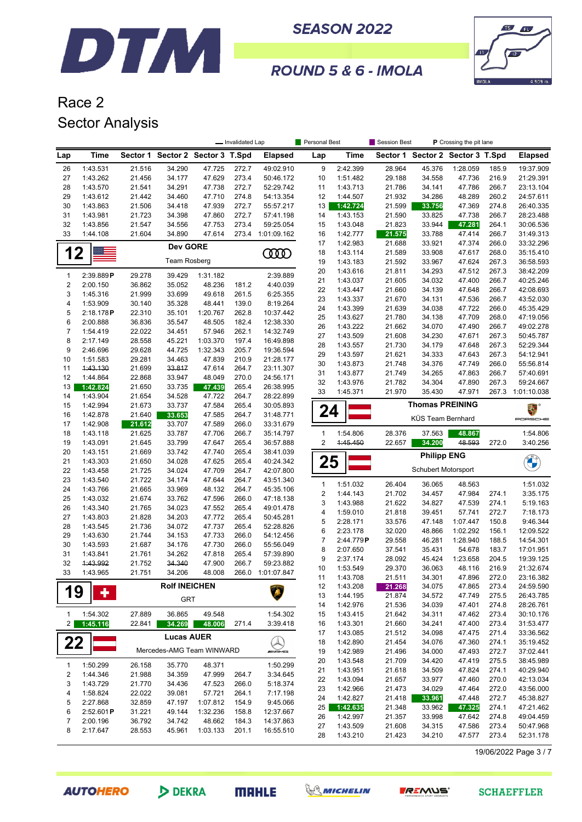



ROUND 5 & 6 - IMOLA

# Race 2 Sector Analysis

|                         |                      |                  |                           |                         | - Invalidated Lap |                          | Personal Best       |                      | Session Best     |                                  | <b>P</b> Crossing the pit lane |                |                        |
|-------------------------|----------------------|------------------|---------------------------|-------------------------|-------------------|--------------------------|---------------------|----------------------|------------------|----------------------------------|--------------------------------|----------------|------------------------|
| Lap                     | Time                 | Sector 1         |                           | Sector 2 Sector 3 T.Spd |                   | <b>Elapsed</b>           | Lap                 | Time                 |                  | Sector 1 Sector 2 Sector 3 T.Spd |                                |                | <b>Elapsed</b>         |
| 26                      | 1:43.531             | 21.516           | 34.290                    | 47.725                  | 272.7             | 49:02.910                | 9                   | 2:42.399             | 28.964           | 45.376                           | 1:28.059                       | 185.9          | 19:37.909              |
| 27                      | 1:43.262             | 21.456           | 34.177                    | 47.629                  | 273.4             | 50:46.172                | 10                  | 1:51.482             | 29.188           | 34.558                           | 47.736                         | 216.9          | 21:29.391              |
| 28                      | 1:43.570             | 21.541           | 34.291                    | 47.738                  | 272.7             | 52:29.742                | 11                  | 1:43.713             | 21.786           | 34.141                           | 47.786                         | 266.7          | 23:13.104              |
| 29                      | 1:43.612             | 21.442           | 34.460                    | 47.710                  | 274.8             | 54:13.354                | 12                  | 1:44.507             | 21.932           | 34.286                           | 48.289                         | 260.2          | 24:57.611              |
| 30                      | 1:43.863             | 21.506           | 34.418                    | 47.939                  | 272.7             | 55:57.217                | 13                  | 1:42.724             | 21.599           | 33.756                           | 47.369                         | 274.8          | 26:40.335              |
| 31                      | 1:43.981             | 21.723           | 34.398                    | 47.860                  | 272.7             | 57:41.198                | 14                  | 1:43.153             | 21.590           | 33.825                           | 47.738                         | 266.7          | 28:23.488              |
| 32<br>33                | 1:43.856<br>1:44.108 | 21.547<br>21.604 | 34.556<br>34.890          | 47.753<br>47.614        | 273.4<br>273.4    | 59:25.054<br>1:01:09.162 | 15<br>16            | 1:43.048<br>1:42.777 | 21.823           | 33.944<br>33.788                 | 47.281<br>47.414               | 264.1<br>266.7 | 30:06.536<br>31:49.313 |
|                         |                      |                  |                           |                         |                   |                          | 17                  | 1:42.983             | 21.575<br>21.688 | 33.921                           | 47.374                         | 266.0          | 33:32.296              |
| 12                      |                      |                  | <b>Dev GORE</b>           |                         |                   | <b>COOD</b>              | 18                  | 1:43.114             | 21.589           | 33.908                           | 47.617                         | 268.0          | 35:15.410              |
|                         |                      |                  | <b>Team Rosberg</b>       |                         |                   |                          | 19                  | 1:43.183             | 21.592           | 33.967                           | 47.624                         | 267.3          | 36:58.593              |
| 1                       | 2:39.889P            | 29.278           | 39.429                    | 1:31.182                |                   | 2:39.889                 | 20                  | 1:43.616             | 21.811           | 34.293                           | 47.512                         | 267.3          | 38:42.209              |
| $\sqrt{2}$              | 2:00.150             | 36.862           | 35.052                    | 48.236                  | 181.2             | 4:40.039                 | 21                  | 1:43.037             | 21.605           | 34.032                           | 47.400                         | 266.7          | 40:25.246              |
| 3                       | 1:45.316             | 21.999           | 33.699                    | 49.618                  | 261.5             | 6:25.355                 | 22                  | 1:43.447             | 21.660           | 34.139                           | 47.648                         | 266.7          | 42:08.693              |
| 4                       | 1:53.909             | 30.140           | 35.328                    | 48.441                  | 139.0             | 8:19.264                 | 23                  | 1:43.337             | 21.670           | 34.131                           | 47.536                         | 266.7          | 43:52.030              |
| 5                       | 2:18.178P            | 22.310           | 35.101                    | 1:20.767                | 262.8             | 10:37.442                | 24<br>25            | 1:43.399<br>1:43.627 | 21.639<br>21.780 | 34.038<br>34.138                 | 47.722<br>47.709               | 266.0<br>268.0 | 45:35.429<br>47:19.056 |
| 6                       | 2:00.888             | 36.836           | 35.547                    | 48.505                  | 182.4             | 12:38.330                | 26                  | 1:43.222             | 21.662           | 34.070                           | 47.490                         | 266.7          | 49:02.278              |
| $\overline{7}$          | 1:54.419             | 22.022           | 34.451                    | 57.946                  | 262.1             | 14:32.749                | 27                  | 1:43.509             | 21.608           | 34.230                           | 47.671                         | 267.3          | 50:45.787              |
| 8                       | 2:17.149             | 28.558           | 45.221                    | 1:03.370                | 197.4             | 16:49.898                | 28                  | 1:43.557             | 21.730           | 34.179                           | 47.648                         | 267.3          | 52:29.344              |
| 9                       | 2:46.696             | 29.628           | 44.725                    | 1:32.343                | 205.7             | 19:36.594                | 29                  | 1:43.597             | 21.621           | 34.333                           | 47.643                         | 267.3          | 54:12.941              |
| 10                      | 1:51.583             | 29.281           | 34.463                    | 47.839                  | 210.9             | 21:28.177                | 30                  | 1:43.873             | 21.748           | 34.376                           | 47.749                         | 266.0          | 55:56.814              |
| 11<br>12                | 1:43.130<br>1:44.864 | 21.699<br>22.868 | 33.817<br>33.947          | 47.614<br>48.049        | 264.7<br>270.0    | 23:11.307<br>24:56.171   | 31                  | 1:43.877             | 21.749           | 34.265                           | 47.863                         | 266.7          | 57:40.691              |
| 13                      | 1:42.824             | 21.650           | 33.735                    | 47.439                  | 265.4             | 26:38.995                | 32                  | 1:43.976             | 21.782           | 34.304                           | 47.890                         | 267.3          | 59:24.667              |
| 14                      | 1:43.904             | 21.654           | 34.528                    | 47.722                  | 264.7             | 28:22.899                | 33                  | 1:45.371             | 21.970           | 35.430                           | 47.971                         | 267.3          | 1:01:10.038            |
| 15                      | 1:42.994             | 21.673           | 33.737                    | 47.584                  | 265.4             | 30:05.893                |                     |                      |                  | <b>Thomas PREINING</b>           |                                |                | 舞台                     |
| 16                      | 1:42.878             | 21.640           | 33.653                    | 47.585                  | 264.7             | 31:48.771                | 24                  |                      |                  |                                  |                                |                | PORSCHE                |
| 17                      | 1:42.908             | 21.612           | 33.707                    | 47.589                  | 266.0             | 33:31.679                |                     |                      |                  | KÜS Team Bernhard                |                                |                |                        |
| 18                      | 1:43.118             | 21.625           | 33.787                    | 47.706                  | 266.7             | 35:14.797                | $\mathbf{1}$        | 1:54.806             | 28.376           | 37.563                           | 48.867                         |                | 1:54.806               |
| 19                      | 1:43.091             | 21.645           | 33.799                    | 47.647                  | 265.4             | 36:57.888                | $\overline{2}$      | 4:45.450             | 22.657           | 34.200                           | 48.593                         | 272.0          | 3:40.256               |
| 20                      | 1:43.151             | 21.669           | 33.742                    | 47.740                  | 265.4             | 38:41.039                |                     |                      |                  | <b>Philipp ENG</b>               |                                |                |                        |
| 21                      | 1:43.303             | 21.650           | 34.028                    | 47.625                  | 265.4             | 40:24.342                | 25                  |                      |                  |                                  |                                |                | $\sum_{i=1}^{n}$       |
| 22                      | 1:43.458             | 21.725           | 34.024                    | 47.709                  | 264.7             | 42:07.800                |                     |                      |                  | Schubert Motorsport              |                                |                |                        |
| 23<br>24                | 1:43.540<br>1:43.766 | 21.722<br>21.665 | 34.174<br>33.969          | 47.644<br>48.132        | 264.7<br>264.7    | 43:51.340<br>45:35.106   | $\mathbf{1}$        | 1:51.032             | 26.404           | 36.065                           | 48.563                         |                | 1:51.032               |
| 25                      | 1:43.032             | 21.674           | 33.762                    | 47.596                  | 266.0             | 47:18.138                | $\overline{2}$      | 1:44.143             | 21.702           | 34.457                           | 47.984                         | 274.1          | 3:35.175               |
| 26                      | 1:43.340             | 21.765           | 34.023                    | 47.552                  | 265.4             | 49:01.478                | 3                   | 1:43.988             | 21.622           | 34.827                           | 47.539                         | 274.1          | 5:19.163               |
| 27                      | 1:43.803             | 21.828           | 34.203                    | 47.772                  | 265.4             | 50:45.281                | 4                   | 1:59.010             | 21.818           | 39.451                           | 57.741                         | 272.7          | 7:18.173               |
| 28                      | 1:43.545             | 21.736           | 34.072                    | 47.737                  | 265.4             | 52:28.826                | 5                   | 2:28.171             | 33.576           | 47.148                           | 1:07.447                       | 150.8          | 9:46.344               |
| 29                      | 1:43.630             | 21.744           | 34.153                    | 47.733                  | 266.0             | 54:12.456                | 6                   | 2:23.178             | 32.020           | 48.866                           | 1:02.292                       | 156.1          | 12:09.522              |
| 30                      | 1:43.593             | 21.687           | 34.176                    | 47.730                  | 266.0             | 55:56.049                | $\overline{7}$<br>8 | 2:44.779P            | 29.558           | 46.281                           | 1:28.940                       | 188.5          | 14:54.301              |
| 31                      | 1:43.841             | 21.761           | 34.262                    | 47.818                  | 265.4             | 57:39.890                | 9                   | 2:07.650<br>2:37.174 | 37.541<br>28.092 | 35.431<br>45.424                 | 54.678<br>1:23.658             | 183.7<br>204.5 | 17:01.951<br>19:39.125 |
| 32                      | 1:43.992             | 21.752           | 34.340                    | 47.900                  | 266.7             | 59:23.882                | 10                  | 1:53.549             | 29.370           | 36.063                           | 48.116                         | 216.9          | 21:32.674              |
| 33                      | 1:43.965             | 21.751           | 34.206                    | 48.008                  | 266.0             | 1:01:07.847              | 11                  | 1:43.708             | 21.511           | 34.301                           | 47.896                         | 272.0          | 23:16.382              |
|                         |                      |                  | <b>Rolf INEICHEN</b>      |                         |                   |                          | 12                  | 1:43.208             | 21.268           | 34.075                           | 47.865                         | 273.4          | 24:59.590              |
| 19                      | ٠                    |                  |                           |                         |                   |                          | 13                  | 1:44.195             | 21.874           | 34.572                           | 47.749                         | 275.5          | 26:43.785              |
|                         |                      |                  | GRT                       |                         |                   |                          | 14                  | 1:42.976             | 21.536           | 34.039                           | 47.401                         | 274.8          | 28:26.761              |
| 1                       | 1:54.302             | 27.889           | 36.865                    | 49.548                  |                   | 1:54.302                 | 15                  | 1:43.415             | 21.642           | 34.311                           | 47.462                         | 273.4          | 30:10.176              |
| $\overline{2}$          | 1:45.116             | 22.841           | 34.269                    | 48.006                  | 271.4             | 3:39.418                 | 16                  | 1:43.301             | 21.660           | 34.241                           | 47.400                         | 273.4          | 31:53.477              |
|                         |                      |                  | <b>Lucas AUER</b>         |                         |                   |                          | 17                  | 1:43.085             | 21.512           | 34.098                           | 47.475                         | 271.4          | 33:36.562              |
| 22                      |                      |                  |                           |                         |                   |                          | 18                  | 1:42.890             | 21.454           | 34.076                           | 47.360                         | 274.1          | 35:19.452              |
|                         |                      |                  | Mercedes-AMG Team WINWARD |                         |                   | <i><b>INNERVIEW</b></i>  | 19                  | 1:42.989             | 21.496           | 34.000                           | 47.493                         | 272.7          | 37:02.441              |
| $\mathbf{1}$            | 1:50.299             | 26.158           | 35.770                    | 48.371                  |                   | 1:50.299                 | 20                  | 1:43.548             | 21.709           | 34.420                           | 47.419                         | 275.5          | 38:45.989              |
| $\overline{\mathbf{c}}$ | 1:44.346             | 21.988           | 34.359                    | 47.999                  | 264.7             | 3:34.645                 | 21                  | 1:43.951             | 21.618           | 34.509                           | 47.824                         | 274.1          | 40:29.940              |
| 3                       | 1:43.729             | 21.770           | 34.436                    | 47.523                  | 266.0             | 5:18.374                 | 22                  | 1:43.094             | 21.657           | 33.977                           | 47.460                         | 270.0          | 42:13.034              |
| 4                       | 1:58.824             | 22.022           | 39.081                    | 57.721                  | 264.1             | 7:17.198                 | 23                  | 1:42.966             | 21.473           | 34.029                           | 47.464                         | 272.0<br>272.7 | 43:56.000              |
| 5                       | 2:27.868             | 32.859           | 47.197                    | 1:07.812                | 154.9             | 9:45.066                 | 24<br>25            | 1:42.827<br>1:42.635 | 21.418<br>21.348 | 33.961<br>33.962                 | 47.448                         | 274.1          | 45:38.827<br>47:21.462 |
| 6                       | 2:52.601P            | 31.221           | 49.144                    | 1:32.236                | 158.8             | 12:37.667                | 26                  | 1:42.997             | 21.357           | 33.998                           | 47.325<br>47.642               | 274.8          | 49:04.459              |
| 7                       | 2:00.196             | 36.792           | 34.742                    | 48.662                  | 184.3             | 14:37.863                | 27                  | 1:43.509             | 21.608           | 34.315                           | 47.586                         | 273.4          | 50:47.968              |
| 8                       | 2:17.647             | 28.553           | 45.961                    | 1:03.133                | 201.1             | 16:55.510                | 28                  | 1:43.210             | 21.423           | 34.210                           | 47.577                         | 273.4          | 52:31.178              |
|                         |                      |                  |                           |                         |                   |                          |                     |                      |                  |                                  |                                |                |                        |

19/06/2022 Page 3 / 7





**MAHLE** 



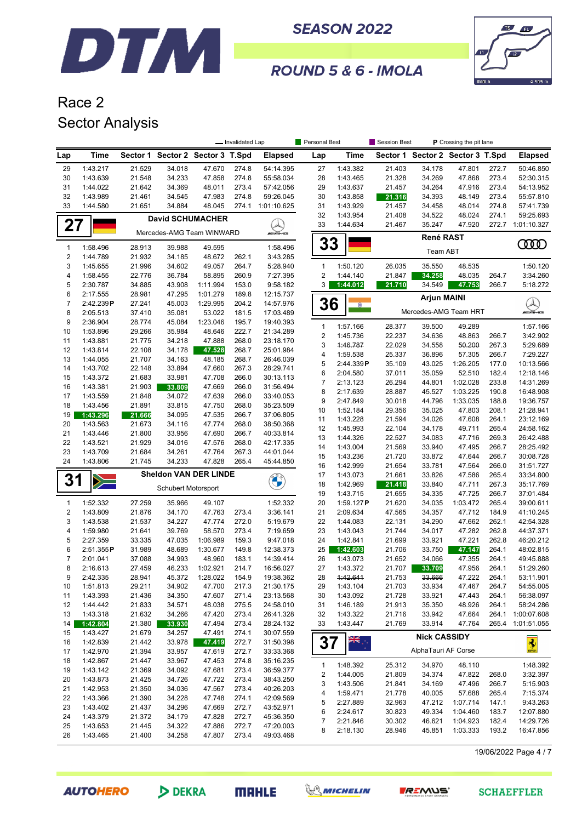



ROUND 5 & 6 - IMOLA

# Race 2 Sector Analysis

|                              |                       |                  |                                  |                      | - Invalidated Lap |                        | Personal Best  |                      | Session Best     |                                  | P Crossing the pit lane |                |                        |
|------------------------------|-----------------------|------------------|----------------------------------|----------------------|-------------------|------------------------|----------------|----------------------|------------------|----------------------------------|-------------------------|----------------|------------------------|
| Lap                          | <b>Time</b>           |                  | Sector 1 Sector 2 Sector 3 T.Spd |                      |                   | <b>Elapsed</b>         | Lap            | <b>Time</b>          |                  | Sector 1 Sector 2 Sector 3 T.Spd |                         |                | <b>Elapsed</b>         |
| 29                           | 1:43.217              | 21.529           | 34.018                           | 47.670               | 274.8             | 54:14.395              | 27             | 1:43.382             | 21.403           | 34.178                           | 47.801                  | 272.7          | 50:46.850              |
| 30                           | 1:43.639              | 21.548           | 34.233                           | 47.858               | 274.8             | 55:58.034              | 28             | 1:43.465             | 21.328           | 34.269                           | 47.868                  | 273.4          | 52:30.315              |
| 31                           | 1:44.022              | 21.642           | 34.369                           | 48.011               | 273.4             | 57:42.056              | 29             | 1:43.637             | 21.457           | 34.264                           | 47.916                  | 273.4          | 54:13.952              |
| 32                           | 1:43.989              | 21.461           | 34.545                           | 47.983               | 274.8             | 59:26.045              | 30             | 1:43.858             | 21.316           | 34.393                           | 48.149                  | 273.4          | 55:57.810              |
| 33                           | 1:44.580              | 21.651           | 34.884                           | 48.045               | 274.1             | 1:01:10.625            | 31<br>32       | 1:43.929<br>1:43.954 | 21.457<br>21.408 | 34.458<br>34.522                 | 48.014<br>48.024        | 274.8<br>274.1 | 57:41.739<br>59:25.693 |
| 27                           |                       |                  | <b>David SCHUMACHER</b>          |                      |                   |                        | 33             | 1:44.634             | 21.467           | 35.247                           | 47.920                  | 272.7          | 1:01:10.327            |
|                              |                       |                  | Mercedes-AMG Team WINWARD        |                      |                   | <b>WEMS</b>            |                |                      |                  | René RAST                        |                         |                |                        |
| 1<br>$\overline{\mathbf{c}}$ | 1:58.496<br>1:44.789  | 28.913<br>21.932 | 39.988<br>34.185                 | 49.595<br>48.672     | 262.1             | 1:58.496<br>3:43.285   | 33             |                      |                  | Team ABT                         |                         |                | 0000                   |
| 3                            | 1:45.655              | 21.996           | 34.602                           | 49.057               | 264.7             | 5:28.940               | $\mathbf{1}$   | 1:50.120             | 26.035           | 35.550                           | 48.535                  |                | 1:50.120               |
| 4                            | 1:58.455              | 22.776           | 36.784                           | 58.895               | 260.9             | 7:27.395               | $\overline{2}$ | 1:44.140             | 21.847           | 34.258                           | 48.035                  | 264.7          | 3:34.260               |
| 5                            | 2:30.787              | 34.885           | 43.908                           | 1:11.994             | 153.0             | 9:58.182               | 3              | 1:44.012             | 21.710           | 34.549                           | 47.753                  | 266.7          | 5:18.272               |
| 6                            | 2:17.555              | 28.981           | 47.295                           | 1:01.279             | 189.8             | 12:15.737              |                |                      |                  | <b>Arjun MAINI</b>               |                         |                |                        |
| $\overline{7}$               | 2:42.239P             | 27.241           | 45.003                           | 1:29.995             | 204.2             | 14:57.976              | 36             |                      |                  |                                  |                         |                |                        |
| 8                            | 2:05.513              | 37.410           | 35.081                           | 53.022               | 181.5             | 17:03.489              |                |                      |                  | Mercedes-AMG Team HRT            |                         |                | <b>WAMG</b>            |
| 9                            | 2:36.904              | 28.774           | 45.084                           | 1:23.046             | 195.7<br>222.7    | 19:40.393<br>21:34.289 | $\mathbf{1}$   | 1:57.166             | 28.377           | 39.500                           | 49.289                  |                | 1:57.166               |
| 10<br>11                     | 1:53.896<br>1:43.881  | 29.266<br>21.775 | 35.984<br>34.218                 | 48.646<br>47.888     | 268.0             | 23:18.170              | 2              | 1:45.736             | 22.237           | 34.636                           | 48.863                  | 266.7          | 3:42.902               |
| 12                           | 1:43.814              | 22.108           | 34.178                           | 47.528               | 268.7             | 25:01.984              | 3              | 1:46.787             | 22.029           | 34.558                           | 50.200                  | 267.3          | 5:29.689               |
| 13                           | 1:44.055              | 21.707           | 34.163                           | 48.185               | 268.7             | 26:46.039              | 4              | 1:59.538             | 25.337           | 36.896                           | 57.305                  | 266.7          | 7:29.227               |
| 14                           | 1:43.702              | 22.148           | 33.894                           | 47.660               | 267.3             | 28:29.741              | 5              | 2:44.339P            | 35.109           | 43.025                           | 1:26.205                | 177.0          | 10:13.566              |
| 15                           | 1:43.372              | 21.683           | 33.981                           | 47.708               | 266.0             | 30:13.113              | 6<br>7         | 2:04.580<br>2:13.123 | 37.011<br>26.294 | 35.059<br>44.801                 | 52.510<br>1:02.028      | 182.4<br>233.8 | 12:18.146<br>14:31.269 |
| 16                           | 1:43.381              | 21.903           | 33.809                           | 47.669               | 266.0             | 31:56.494              | 8              | 2:17.639             | 28.887           | 45.527                           | 1:03.225                | 190.8          | 16:48.908              |
| 17                           | 1:43.559              | 21.848           | 34.072                           | 47.639               | 266.0             | 33:40.053              | 9              | 2:47.849             | 30.018           | 44.796                           | 1:33.035                | 188.8          | 19:36.757              |
| 18                           | 1:43.456              | 21.891           | 33.815                           | 47.750               | 268.0             | 35:23.509              | 10             | 1:52.184             | 29.356           | 35.025                           | 47.803                  | 208.1          | 21:28.941              |
| 19                           | 1:43.296              | 21.666           | 34.095                           | 47.535               | 266.7             | 37:06.805              | 11             | 1:43.228             | 21.594           | 34.026                           | 47.608                  | 264.1          | 23:12.169              |
| 20<br>21                     | 1:43.563<br>1:43.446  | 21.673<br>21.800 | 34.116<br>33.956                 | 47.774<br>47.690     | 268.0<br>266.7    | 38:50.368<br>40:33.814 | 12             | 1:45.993             | 22.104           | 34.178                           | 49.711                  | 265.4          | 24:58.162              |
| 22                           | 1:43.521              | 21.929           | 34.016                           | 47.576               | 268.0             | 42:17.335              | 13             | 1:44.326             | 22.527           | 34.083                           | 47.716                  | 269.3          | 26:42.488              |
| 23                           | 1:43.709              | 21.684           | 34.261                           | 47.764               | 267.3             | 44:01.044              | 14             | 1:43.004             | 21.569           | 33.940                           | 47.495                  | 266.7          | 28:25.492              |
| 24                           | 1:43.806              | 21.745           | 34.233                           | 47.828               | 265.4             | 45:44.850              | 15             | 1:43.236             | 21.720           | 33.872                           | 47.644                  | 266.7          | 30:08.728              |
|                              |                       |                  | <b>Sheldon VAN DER LINDE</b>     |                      |                   |                        | 16<br>17       | 1:42.999<br>1:43.073 | 21.654<br>21.661 | 33.781<br>33.826                 | 47.564<br>47.586        | 266.0<br>265.4 | 31:51.727<br>33:34.800 |
| 31                           | $\geq$                |                  |                                  |                      |                   | <b>CALCS</b>           | 18             | 1:42.969             | 21.418           | 33.840                           | 47.711                  | 267.3          | 35:17.769              |
|                              |                       |                  | Schubert Motorsport              |                      |                   |                        | 19             | 1:43.715             | 21.655           | 34.335                           | 47.725                  | 266.7          | 37:01.484              |
| 1                            | 1:52.332              | 27.259           | 35.966                           | 49.107               |                   | 1:52.332               | 20             | 1:59.127 $P$         | 21.620           | 34.035                           | 1:03.472                | 265.4          | 39:00.611              |
| $\overline{\mathbf{c}}$      | 1:43.809              | 21.876           | 34.170                           | 47.763               | 273.4             | 3:36.141               | 21             | 2:09.634             | 47.565           | 34.357                           | 47.712                  | 184.9          | 41:10.245              |
| 3                            | 1:43.538              | 21.537           | 34.227                           | 47.774               | 272.0             | 5:19.679               | 22             | 1:44.083             | 22.131           | 34.290                           | 47.662                  | 262.1          | 42:54.328              |
| 4                            | 1:59.980              | 21.641           | 39.769                           | 58.570               | 273.4             | 7:19.659               | 23             | 1:43.043             | 21.744           | 34.017                           | 47.282                  | 262.8          | 44:37.371              |
| 5<br>6                       | 2:27.359<br>2:51.355P | 33.335<br>31.989 | 47.035<br>48.689                 | 1:06.989<br>1:30.677 | 159.3<br>149.8    | 9:47.018<br>12:38.373  | 24<br>25       | 1:42.841<br>1:42.603 | 21.699<br>21.706 | 33.921<br>33.750                 | 47.221                  | 262.8<br>264.1 | 46:20.212<br>48:02.815 |
| $\overline{7}$               | 2:01.041              | 37.088           | 34.993                           | 48.960               | 183.1             | 14:39.414              | 26             | 1:43.073             | 21.652           | 34.066                           | 47.147<br>47.355        | 264.1          | 49:45.888              |
| 8                            | 2:16.613              | 27.459           | 46.233                           | 1:02.921             | 214.7             | 16:56.027              | 27             | 1:43.372             | 21.707           | 33.709                           | 47.956                  | 264.1          | 51:29.260              |
| 9                            | 2:42.335              | 28.941           | 45.372                           | 1:28.022             | 154.9             | 19:38.362              | 28             | 4:42.641             | 21.753           | 33.666                           | 47.222                  | 264.1          | 53:11.901              |
| 10                           | 1:51.813              | 29.211           | 34.902                           | 47.700               | 217.3             | 21:30.175              | 29             | 1:43.104             | 21.703           | 33.934                           | 47.467                  | 264.7          | 54:55.005              |
| 11                           | 1:43.393              | 21.436           | 34.350                           | 47.607               | 271.4             | 23:13.568              | 30             | 1:43.092             | 21.728           | 33.921                           | 47.443                  | 264.1          | 56:38.097              |
| 12                           | 1:44.442              | 21.833           | 34.571                           | 48.038               | 275.5             | 24:58.010              | 31             | 1:46.189             | 21.913           | 35.350                           | 48.926                  | 264.1          | 58:24.286              |
| 13                           | 1:43.318              | 21.632           | 34.266                           | 47.420               | 273.4             | 26:41.328              | 32             | 1:43.322             | 21.716           | 33.942                           | 47.664                  | 264.1          | 1:00:07.608            |
| 14                           | 1:42.804              | 21.380           | 33.930                           | 47.494               | 273.4             | 28:24.132              | 33             | 1:43.447             | 21.769           | 33.914                           | 47.764                  |                | 265.4 1:01:51.055      |
| 15<br>16                     | 1:43.427<br>1:42.839  | 21.679<br>21.442 | 34.257<br>33.978                 | 47.491<br>47.419     | 274.1<br>272.7    | 30:07.559<br>31:50.398 | 37             |                      |                  | <b>Nick CASSIDY</b>              |                         |                |                        |
| 17                           | 1:42.970              | 21.394           | 33.957                           | 47.619               | 272.7             | 33:33.368              |                |                      |                  | AlphaTauri AF Corse              |                         |                | $\frac{1}{2}$          |
| 18                           | 1:42.867              | 21.447           | 33.967                           | 47.453               | 274.8             | 35:16.235              |                |                      |                  |                                  |                         |                |                        |
| 19                           | 1:43.142              | 21.369           | 34.092                           | 47.681               | 273.4             | 36:59.377              | 1              | 1:48.392             | 25.312           | 34.970                           | 48.110                  |                | 1:48.392               |
| 20                           | 1:43.873              | 21.425           | 34.726                           | 47.722               | 273.4             | 38:43.250              | 2<br>3         | 1:44.005<br>1:43.506 | 21.809<br>21.841 | 34.374<br>34.169                 | 47.822<br>47.496        | 268.0<br>266.7 | 3:32.397<br>5:15.903   |
| 21                           | 1:42.953              | 21.350           | 34.036                           | 47.567               | 273.4             | 40:26.203              | 4              | 1:59.471             | 21.778           | 40.005                           | 57.688                  | 265.4          | 7:15.374               |
| 22                           | 1:43.366              | 21.390           | 34.228                           | 47.748               | 274.1             | 42:09.569              | 5              | 2:27.889             | 32.963           | 47.212                           | 1:07.714                | 147.1          | 9:43.263               |
| 23                           | 1:43.402              | 21.437           | 34.296                           | 47.669               | 272.7             | 43:52.971              | 6              | 2:24.617             | 30.823           | 49.334                           | 1:04.460                | 183.7          | 12:07.880              |
| 24                           | 1:43.379              | 21.372           | 34.179                           | 47.828               | 272.7<br>272.7    | 45:36.350              | 7              | 2:21.846             | 30.302           | 46.621                           | 1:04.923                | 182.4          | 14:29.726              |
| 25<br>26                     | 1:43.653<br>1:43.465  | 21.445<br>21.400 | 34.322<br>34.258                 | 47.886<br>47.807     | 273.4             | 47:20.003<br>49:03.468 | 8              | 2:18.130             | 28.946           | 45.851                           | 1:03.333                | 193.2          | 16:47.856              |
|                              |                       |                  |                                  |                      |                   |                        |                |                      |                  |                                  |                         |                |                        |

19/06/2022 Page 4 / 7

**AUTOHERO** 

DEKRA





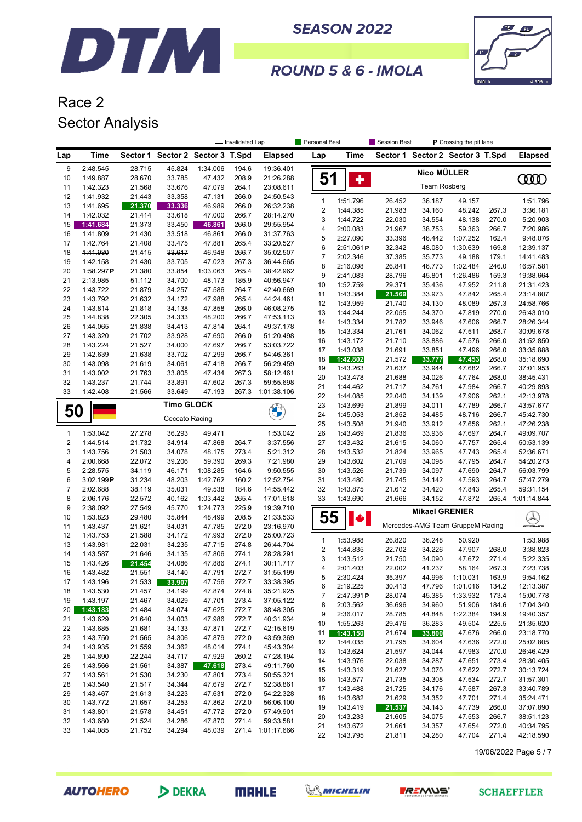



#### ROUND 5 & 6 - IMOLA

## Race 2 Sector Analysis

|                         |                      |                  |                                  |                    | - Invalidated Lap |                          | Personal Best  |                      | Session Best     |                       | P Crossing the pit lane          |                |                        |
|-------------------------|----------------------|------------------|----------------------------------|--------------------|-------------------|--------------------------|----------------|----------------------|------------------|-----------------------|----------------------------------|----------------|------------------------|
| Lap                     | Time                 |                  | Sector 1 Sector 2 Sector 3 T.Spd |                    |                   | <b>Elapsed</b>           | Lap            | Time                 |                  |                       | Sector 1 Sector 2 Sector 3 T.Spd |                | <b>Elapsed</b>         |
| 9                       | 2:48.545             | 28.715           | 45.824                           | 1:34.006           | 194.6             | 19:36.401                |                |                      |                  | Nico MÜLLER           |                                  |                |                        |
| 10                      | 1:49.887             | 28.670           | 33.785                           | 47.432             | 208.9             | 21:26.288                |                | 51<br>٠              |                  |                       |                                  |                | ŒŒ                     |
| 11                      | 1:42.323             | 21.568           | 33.676                           | 47.079             | 264.1             | 23:08.611                |                |                      |                  | Team Rosberg          |                                  |                |                        |
| 12                      | 1:41.932             | 21.443           | 33.358                           | 47.131             | 266.0             | 24:50.543                | 1              | 1:51.796             | 26.452           | 36.187                | 49.157                           |                | 1:51.796               |
| 13                      | 1:41.695             | 21.370           | 33.336                           | 46.989             | 266.0             | 26:32.238                | $\overline{2}$ | 1:44.385             | 21.983           | 34.160                | 48.242                           | 267.3          | 3:36.181               |
| 14<br>15                | 1:42.032<br>1:41.684 | 21.414<br>21.373 | 33.618                           | 47.000             | 266.7<br>266.0    | 28:14.270<br>29:55.954   | 3              | 1:44.722             | 22.030           | 34.554                | 48.138                           | 270.0          | 5:20.903               |
| 16                      | 1:41.809             | 21.430           | 33.450<br>33.518                 | 46.861<br>46.861   | 266.0             | 31:37.763                | 4              | 2:00.083             | 21.967           | 38.753                | 59.363                           | 266.7          | 7:20.986               |
| 17                      | 1:42.764             | 21.408           | 33.475                           | 47.881             | 265.4             | 33:20.527                | 5              | 2:27.090             | 33.396           | 46.442                | 1:07.252                         | 162.4          | 9:48.076               |
| 18                      | 4:41.980             | 21.415           | 33.617                           | 46.948             | 266.7             | 35:02.507                | 6              | 2:51.061P            | 32.342           | 48.080                | 1:30.639                         | 169.8          | 12:39.137              |
| 19                      | 1:42.158             | 21.430           | 33.705                           | 47.023             | 267.3             | 36:44.665                | $\overline{7}$ | 2:02.346             | 37.385           | 35.773                | 49.188                           | 179.1          | 14:41.483              |
| 20                      | 1:58.297P            | 21.380           | 33.854                           | 1:03.063           | 265.4             | 38:42.962                | 8              | 2:16.098             | 26.841           | 46.773                | 1:02.484                         | 246.0          | 16:57.581              |
| 21                      | 2:13.985             | 51.112           | 34.700                           | 48.173             | 185.9             | 40:56.947                | 9<br>10        | 2:41.083<br>1:52.759 | 28.796           | 45.801                | 1:26.486                         | 159.3          | 19:38.664              |
| 22                      | 1:43.722             | 21.879           | 34.257                           | 47.586             | 264.7             | 42:40.669                | 11             | 1:43.384             | 29.371<br>21.569 | 35.436<br>33.973      | 47.952<br>47.842                 | 211.8<br>265.4 | 21:31.423<br>23:14.807 |
| 23                      | 1:43.792             | 21.632           | 34.172                           | 47.988             | 265.4             | 44:24.461                | 12             | 1:43.959             | 21.740           | 34.130                | 48.089                           | 267.3          | 24:58.766              |
| 24                      | 1:43.814             | 21.818           | 34.138                           | 47.858             | 266.0             | 46:08.275                | 13             | 1:44.244             | 22.055           | 34.370                | 47.819                           | 270.0          | 26:43.010              |
| 25                      | 1:44.838             | 22.305           | 34.333                           | 48.200             | 266.7             | 47:53.113                | 14             | 1:43.334             | 21.782           | 33.946                | 47.606                           | 266.7          | 28:26.344              |
| 26                      | 1:44.065             | 21.838           | 34.413                           | 47.814             | 264.1             | 49:37.178                | 15             | 1:43.334             | 21.761           | 34.062                | 47.511                           | 268.7          | 30:09.678              |
| 27                      | 1:43.320             | 21.702           | 33.928                           | 47.690             | 266.0             | 51:20.498                | 16             | 1:43.172             | 21.710           | 33.886                | 47.576                           | 266.0          | 31:52.850              |
| 28                      | 1:43.224             | 21.527           | 34.000                           | 47.697             | 266.7             | 53:03.722                | 17             | 1:43.038             | 21.691           | 33.851                | 47.496                           | 266.0          | 33:35.888              |
| 29                      | 1:42.639             | 21.638           | 33.702                           | 47.299             | 266.7             | 54:46.361                | 18             | 1:42.802             | 21.572           | 33.777                | 47.453                           | 268.0          | 35:18.690              |
| 30                      | 1:43.098             | 21.619           | 34.061                           | 47.418             | 266.7<br>267.3    | 56:29.459                | 19             | 1:43.263             | 21.637           | 33.944                | 47.682                           | 266.7          | 37:01.953              |
| 31<br>32                | 1:43.002             | 21.763<br>21.744 | 33.805<br>33.891                 | 47.434<br>47.602   | 267.3             | 58:12.461                | 20             | 1:43.478             | 21.688           | 34.026                | 47.764                           | 268.0          | 38:45.431              |
| 33                      | 1:43.237<br>1:42.408 | 21.566           | 33.649                           | 47.193             | 267.3             | 59:55.698<br>1:01:38.106 | 21             | 1:44.462             | 21.717           | 34.761                | 47.984                           | 266.7          | 40:29.893              |
|                         |                      |                  |                                  |                    |                   |                          | 22             | 1:44.085             | 22.040           | 34.139                | 47.906                           | 262.1          | 42:13.978              |
| 50                      |                      |                  | <b>Timo GLOCK</b>                |                    |                   | <b>CONTRACTOR</b>        | 23             | 1:43.699             | 21.899           | 34.011                | 47.789                           | 266.7          | 43:57.677              |
|                         |                      |                  | Ceccato Racing                   |                    |                   |                          | 24             | 1:45.053             | 21.852           | 34.485                | 48.716                           | 266.7          | 45:42.730              |
|                         |                      |                  |                                  |                    |                   |                          | 25             | 1:43.508             | 21.940           | 33.912                | 47.656                           | 262.1          | 47:26.238              |
| 1                       | 1:53.042             | 27.278           | 36.293                           | 49.471             |                   | 1:53.042                 | 26             | 1:43.469             | 21.836           | 33.936                | 47.697                           | 264.7          | 49:09.707              |
| $\overline{\mathbf{c}}$ | 1:44.514             | 21.732           | 34.914                           | 47.868             | 264.7             | 3:37.556                 | 27             | 1:43.432             | 21.615           | 34.060                | 47.757                           | 265.4          | 50:53.139              |
| 3                       | 1:43.756             | 21.503           | 34.078                           | 48.175             | 273.4             | 5:21.312                 | 28             | 1:43.532             | 21.824           | 33.965                | 47.743                           | 265.4          | 52:36.671              |
| 4<br>5                  | 2:00.668<br>2:28.575 | 22.072<br>34.119 | 39.206<br>46.171                 | 59.390<br>1:08.285 | 269.3<br>164.6    | 7:21.980<br>9:50.555     | 29<br>30       | 1:43.602<br>1:43.526 | 21.709<br>21.739 | 34.098<br>34.097      | 47.795<br>47.690                 | 264.7<br>264.7 | 54:20.273<br>56:03.799 |
| 6                       | 3:02.199P            | 31.234           | 48.203                           | 1:42.762           | 160.2             | 12:52.754                | 31             | 1:43.480             | 21.745           | 34.142                | 47.593                           | 264.7          | 57:47.279              |
| $\overline{7}$          | 2:02.688             | 38.119           | 35.031                           | 49.538             | 184.6             | 14:55.442                | 32             | 1:43.875             | 21.612           | 34.420                | 47.843                           | 265.4          | 59:31.154              |
| 8                       | 2:06.176             | 22.572           | 40.162                           | 1:03.442           | 265.4             | 17:01.618                | 33             | 1:43.690             | 21.666           | 34.152                | 47.872                           | 265.4          | 1:01:14.844            |
| 9                       | 2:38.092             | 27.549           | 45.770                           | 1:24.773           | 225.9             | 19:39.710                |                |                      |                  |                       |                                  |                |                        |
| 10                      | 1:53.823             | 29.480           | 35.844                           | 48.499             | 208.5             | 21:33.533                |                | 55<br>₩              |                  | <b>Mikael GRENIER</b> |                                  |                |                        |
| 11                      | 1:43.437             | 21.621           | 34.031                           | 47.785             | 272.0             | 23:16.970                |                |                      |                  |                       | Mercedes-AMG Team GruppeM Racing |                | <b>ANITAL</b>          |
| 12                      | 1:43.753             | 21.588           | 34.172                           | 47.993             | 272.0             | 25:00.723                | $\mathbf{1}$   | 1:53.988             | 26.820           | 36.248                | 50.920                           |                | 1:53.988               |
| 13                      | 1:43.981             | 22.031           | 34.235                           | 47.715             | 274.8             | 26:44.704                | $\overline{2}$ | 1:44.835             | 22.702           | 34.226                | 47.907                           | 268.0          | 3:38.823               |
| 14                      | 1:43.587             | 21.646           | 34.135                           | 47.806             | 274.1             | 28:28.291                | 3              | 1:43.512             | 21.750           | 34.090                | 47.672                           | 271.4          | 5:22.335               |
| 15                      | 1:43.426             | 21.454           | 34.086                           | 47.886             | 274.1             | 30:11.717                | 4              | 2:01.403             | 22.002           | 41.237                | 58.164                           | 267.3          | 7:23.738               |
| 16                      | 1:43.482             | 21.551           | 34.140                           | 47.791             | 272.7             | 31:55.199                | 5              | 2:30.424             | 35.397           | 44.996                | 1:10.031                         | 163.9          | 9:54.162               |
| 17                      | 1:43.196             | 21.533           | 33.907                           | 47.756             | 272.7             | 33:38.395                | 6              | 2:19.225             | 30.413           | 47.796                | 1:01.016                         | 134.2          | 12:13.387              |
| 18                      | 1:43.530             | 21.457           | 34.199                           | 47.874             | 274.8             | 35:21.925                | 7              | 2:47.391P            | 28.074           | 45.385                | 1:33.932                         | 173.4          | 15:00.778              |
| 19                      | 1:43.197             | 21.467           | 34.029                           | 47.701             | 273.4             | 37:05.122                | 8              | 2:03.562             | 36.696           | 34.960                | 51.906                           | 184.6          | 17:04.340              |
| 20                      | 1:43.183             | 21.484           | 34.074                           | 47.625             | 272.7             | 38:48.305                | 9              | 2:36.017             | 28.785           | 44.848                | 1:22.384                         | 194.9          | 19:40.357              |
| 21<br>22                | 1:43.629<br>1:43.685 | 21.640<br>21.681 | 34.003<br>34.133                 | 47.986<br>47.871   | 272.7<br>272.7    | 40:31.934<br>42:15.619   | 10             | 1:55.263             | 29.476           | 36.283                | 49.504                           | 225.5          | 21:35.620              |
| 23                      | 1:43.750             | 21.565           | 34.306                           | 47.879             | 272.0             | 43:59.369                | 11             | 1:43.150             | 21.674           | 33.800                | 47.676                           | 266.0          | 23:18.770              |
| 24                      | 1:43.935             | 21.559           | 34.362                           | 48.014             | 274.1             | 45:43.304                | 12             | 1:44.035             | 21.795           | 34.604                | 47.636                           | 272.0          | 25:02.805              |
| 25                      | 1:44.890             | 22.244           | 34.717                           | 47.929             | 260.2             | 47:28.194                | 13             | 1:43.624             | 21.597           | 34.044                | 47.983                           | 270.0          | 26:46.429              |
| 26                      | 1:43.566             | 21.561           | 34.387                           | 47.618             | 273.4             | 49:11.760                | 14             | 1:43.976             | 22.038           | 34.287                | 47.651                           | 273.4          | 28:30.405              |
| 27                      | 1:43.561             | 21.530           | 34.230                           | 47.801             | 273.4             | 50:55.321                | 15             | 1:43.319             | 21.627           | 34.070                | 47.622                           | 272.7          | 30:13.724              |
| 28                      | 1:43.540             | 21.517           | 34.344                           | 47.679             | 272.7             | 52:38.861                | 16             | 1:43.577             | 21.735           | 34.308                | 47.534                           | 272.7          | 31:57.301              |
| 29                      | 1:43.467             | 21.613           | 34.223                           | 47.631             | 272.0             | 54:22.328                | 17             | 1:43.488             | 21.725           | 34.176                | 47.587                           | 267.3          | 33:40.789              |
| 30                      | 1:43.772             | 21.657           | 34.253                           | 47.862             | 272.0             | 56:06.100                | 18             | 1:43.682             | 21.629           | 34.352                | 47.701                           | 271.4          | 35:24.471              |
| 31                      | 1:43.801             | 21.578           | 34.451                           | 47.772             | 272.0             | 57:49.901                | 19<br>20       | 1:43.419<br>1:43.233 | 21.537<br>21.605 | 34.143<br>34.075      | 47.739<br>47.553                 | 266.0<br>266.7 | 37:07.890<br>38:51.123 |
| 32                      | 1:43.680             | 21.524           | 34.286                           | 47.870             | 271.4             | 59:33.581                | 21             | 1:43.672             | 21.661           | 34.357                | 47.654                           | 272.0          | 40:34.795              |
| 33                      | 1:44.085             | 21.752           | 34.294                           | 48.039             |                   | 271.4 1:01:17.666        | 22             | 1:43.795             | 21.811           | 34.280                | 47.704                           | 271.4          | 42:18.590              |
|                         |                      |                  |                                  |                    |                   |                          |                |                      |                  |                       |                                  |                |                        |

19/06/2022 Page 5 / 7

**AUTOHERO** 

**MAHLE** 



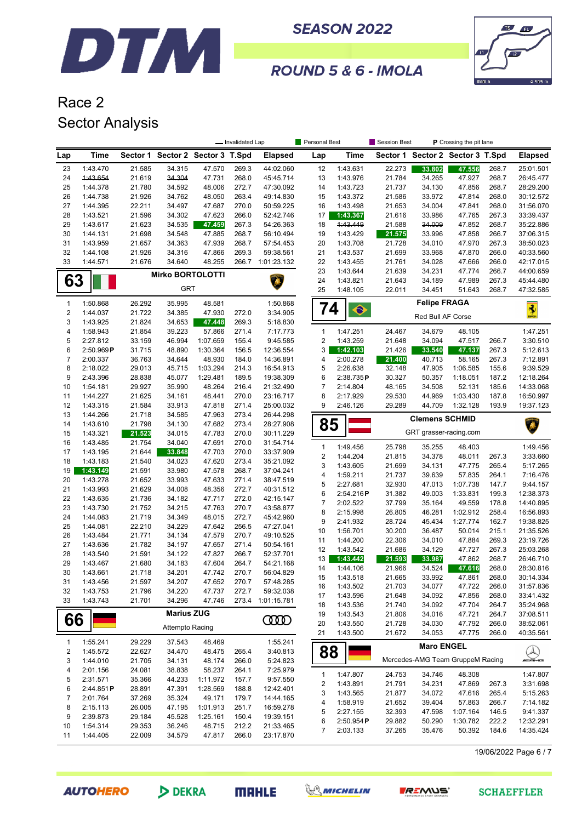



### ROUND 5 & 6 - IMOLA

## Race 2 Sector Analysis

|                                |                       |                  |                                  |                      | - Invalidated Lap |                                | Personal Best             |                       | Session Best     |                                  | P Crossing the pit lane |                |                         |
|--------------------------------|-----------------------|------------------|----------------------------------|----------------------|-------------------|--------------------------------|---------------------------|-----------------------|------------------|----------------------------------|-------------------------|----------------|-------------------------|
| Lap                            | <b>Time</b>           |                  | Sector 1 Sector 2 Sector 3 T.Spd |                      |                   | <b>Elapsed</b>                 | Lap                       | <b>Time</b>           |                  | Sector 1 Sector 2 Sector 3 T.Spd |                         |                | <b>Elapsed</b>          |
| 23                             | 1:43.470              | 21.585           | 34.315                           | 47.570               | 269.3             | 44:02.060                      | 12                        | 1:43.631              | 22.273           | 33.802                           | 47.556                  | 268.7          | 25:01.501               |
| 24                             | 4:43.654              | 21.619           | 34.304                           | 47.731               | 268.0             | 45:45.714                      | 13                        | 1:43.976              | 21.784           | 34.265                           | 47.927                  | 268.7          | 26:45.477               |
| 25                             | 1:44.378              | 21.780           | 34.592                           | 48.006               | 272.7             | 47:30.092                      | 14                        | 1:43.723              | 21.737           | 34.130                           | 47.856                  | 268.7          | 28:29.200               |
| 26                             | 1:44.738              | 21.926           | 34.762                           | 48.050               | 263.4             | 49:14.830                      | 15                        | 1:43.372              | 21.586           | 33.972                           | 47.814                  | 268.0          | 30:12.572               |
| 27<br>28                       | 1:44.395<br>1:43.521  | 22.211<br>21.596 | 34.497<br>34.302                 | 47.687<br>47.623     | 270.0<br>266.0    | 50:59.225<br>52:42.746         | 16<br>17                  | 1:43.498<br>1:43.367  | 21.653<br>21.616 | 34.004<br>33.986                 | 47.841<br>47.765        | 268.0<br>267.3 | 31:56.070<br>33:39.437  |
| 29                             | 1:43.617              | 21.623           | 34.535                           | 47.459               | 267.3             | 54:26.363                      | 18                        | 1:43.449              | 21.588           | 34.009                           | 47.852                  | 268.7          | 35:22.886               |
| 30                             | 1:44.131              | 21.698           | 34.548                           | 47.885               | 268.7             | 56:10.494                      | 19                        | 1:43.429              | 21.575           | 33.996                           | 47.858                  | 266.7          | 37:06.315               |
| 31                             | 1:43.959              | 21.657           | 34.363                           | 47.939               | 268.7             | 57:54.453                      | 20                        | 1:43.708              | 21.728           | 34.010                           | 47.970                  | 267.3          | 38:50.023               |
| 32                             | 1:44.108              | 21.926           | 34.316                           | 47.866               | 269.3             | 59:38.561                      | 21                        | 1:43.537              | 21.699           | 33.968                           | 47.870                  | 266.0          | 40:33.560               |
| 33                             | 1:44.571              | 21.676           | 34.640                           | 48.255               | 266.7             | 1:01:23.132                    | 22                        | 1:43.455              | 21.761           | 34.028                           | 47.666                  | 266.0          | 42:17.015               |
|                                |                       |                  | <b>Mirko BORTOLOTTI</b>          |                      |                   |                                | 23                        | 1:43.644              | 21.639           | 34.231                           | 47.774                  | 266.7          | 44:00.659               |
| 63                             |                       |                  |                                  |                      |                   |                                | 24                        | 1:43.821              | 21.643           | 34.189                           | 47.989                  | 267.3          | 45:44.480               |
|                                |                       |                  | <b>GRT</b>                       |                      |                   |                                | 25                        | 1:48.105              | 22.011           | 34.451                           | 51.643                  | 268.7          | 47:32.585               |
| $\mathbf{1}$                   | 1:50.868              | 26.292           | 35.995                           | 48.581               |                   | 1:50.868                       | 74                        | €                     |                  | <b>Felipe FRAGA</b>              |                         |                |                         |
| $\sqrt{2}$                     | 1:44.037              | 21.722           | 34.385                           | 47.930               | 272.0             | 3:34.905                       |                           |                       |                  | Red Bull AF Corse                |                         |                | $\overline{\mathbf{3}}$ |
| 3                              | 1:43.925              | 21.824           | 34.653                           | 47.448               | 269.3             | 5:18.830                       |                           |                       |                  |                                  |                         |                |                         |
| 4                              | 1:58.943              | 21.854           | 39.223                           | 57.866               | 271.4             | 7:17.773                       | 1                         | 1:47.251              | 24.467           | 34.679                           | 48.105                  |                | 1:47.251<br>3:30.510    |
| 5<br>6                         | 2:27.812<br>2:50.969P | 33.159<br>31.715 | 46.994<br>48.890                 | 1:07.659<br>1:30.364 | 155.4<br>156.5    | 9:45.585<br>12:36.554          | $\overline{c}$<br>3       | 1:43.259<br>1:42.103  | 21.648<br>21.426 | 34.094<br>33.540                 | 47.517<br>47.137        | 266.7<br>267.3 | 5:12.613                |
| $\overline{7}$                 | 2:00.337              | 36.763           | 34.644                           | 48.930               | 184.0             | 14:36.891                      | 4                         | 2:00.278              | 21.400           | 40.713                           | 58.165                  | 267.3          | 7:12.891                |
| 8                              | 2:18.022              | 29.013           | 45.715                           | 1:03.294             | 214.3             | 16:54.913                      | 5                         | 2:26.638              | 32.148           | 47.905                           | 1:06.585                | 155.6          | 9:39.529                |
| 9                              | 2:43.396              | 28.838           | 45.077                           | 1:29.481             | 189.5             | 19:38.309                      | 6                         | 2:38.735P             | 30.327           | 50.357                           | 1:18.051                | 187.2          | 12:18.264               |
| 10                             | 1:54.181              | 29.927           | 35.990                           | 48.264               | 216.4             | 21:32.490                      | 7                         | 2:14.804              | 48.165           | 34.508                           | 52.131                  | 185.6          | 14:33.068               |
| 11                             | 1:44.227              | 21.625           | 34.161                           | 48.441               | 270.0             | 23:16.717                      | 8                         | 2:17.929              | 29.530           | 44.969                           | 1:03.430                | 187.8          | 16:50.997               |
| 12                             | 1:43.315              | 21.584           | 33.913                           | 47.818               | 271.4             | 25:00.032                      | 9                         | 2:46.126              | 29.289           | 44.709                           | 1:32.128                | 193.9          | 19:37.123               |
| 13                             | 1:44.266              | 21.718           | 34.585                           | 47.963               | 273.4             | 26:44.298                      |                           |                       |                  | <b>Clemens SCHMID</b>            |                         |                |                         |
| 14                             | 1:43.610              | 21.798           | 34.130                           | 47.682               | 273.4             | 28:27.908                      | 85                        |                       |                  |                                  |                         |                | Â                       |
| 15                             | 1:43.321              | 21.523           | 34.015                           | 47.783               | 270.0             | 30:11.229                      |                           |                       |                  | GRT grasser-racing.com           |                         |                |                         |
| 16                             | 1:43.485              | 21.754           | 34.040                           | 47.691               | 270.0             | 31:54.714                      | $\mathbf{1}$              | 1:49.456              | 25.798           | 35.255                           | 48.403                  |                | 1:49.456                |
| 17<br>18                       | 1:43.195<br>1:43.183  | 21.644<br>21.540 | 33.848<br>34.023                 | 47.703<br>47.620     | 270.0<br>273.4    | 33:37.909<br>35:21.092         | $\overline{c}$            | 1:44.204              | 21.815           | 34.378                           | 48.011                  | 267.3          | 3:33.660                |
| 19                             | 1:43.149              | 21.591           | 33.980                           | 47.578               | 268.7             | 37:04.241                      | 3                         | 1:43.605              | 21.699           | 34.131                           | 47.775                  | 265.4          | 5:17.265                |
| 20                             | 1:43.278              | 21.652           | 33.993                           | 47.633               | 271.4             | 38:47.519                      | 4                         | 1:59.211              | 21.737           | 39.639                           | 57.835                  | 264.1          | 7:16.476                |
| 21                             | 1:43.993              | 21.629           | 34.008                           | 48.356               | 272.7             | 40:31.512                      | 5                         | 2:27.681              | 32.930           | 47.013                           | 1:07.738                | 147.7          | 9:44.157                |
| 22                             | 1:43.635              | 21.736           | 34.182                           | 47.717               | 272.0             | 42:15.147                      | 6                         | 2:54.216P             | 31.382           | 49.003                           | 1:33.831                | 199.3          | 12:38.373               |
| 23                             | 1:43.730              | 21.752           | 34.215                           | 47.763               | 270.7             | 43:58.877                      | $\overline{\mathfrak{c}}$ | 2:02.522              | 37.799           | 35.164                           | 49.559                  | 178.8          | 14:40.895               |
| 24                             | 1:44.083              | 21.719           | 34.349                           | 48.015               | 272.7             | 45:42.960                      | 8                         | 2:15.998              | 26.805           | 46.281                           | 1:02.912                | 258.4          | 16:56.893               |
| 25                             | 1:44.081              | 22.210           | 34.229                           | 47.642               | 256.5             | 47:27.041                      | 9<br>10                   | 2:41.932<br>1:56.701  | 28.724<br>30.200 | 45.434<br>36.487                 | 1:27.774<br>50.014      | 162.7<br>215.1 | 19:38.825<br>21:35.526  |
| 26                             | 1:43.484              | 21.771           | 34.134                           | 47.579               | 270.7             | 49:10.525                      | 11                        | 1:44.200              | 22.306           | 34.010                           | 47.884                  | 269.3          | 23:19.726               |
| 27                             | 1:43.636              | 21.782           | 34.197                           | 47.657               | 271.4             | 50:54.161                      | 12                        | 1:43.542              | 21.686           | 34.129                           | 47.727                  | 267.3          | 25:03.268               |
| 28                             | 1:43.540              | 21.591           | 34.122                           | 47.827               | 266.7             | 52:37.701                      | 13                        | 1:43.442              | 21.593           | 33.987                           | 47.862                  | 268.7          | 26:46.710               |
| 29                             | 1:43.467              | 21.680           | 34.183                           | 47.604               | 264.7             | 54:21.168                      | 14                        | 1:44.106              | 21.966           | 34.524                           | 47.616                  | 268.0          | 28:30.816               |
| 30                             | 1:43.661              | 21.718           | 34.201                           | 47.742               | 270.7             | 56:04.829                      | 15                        | 1:43.518              | 21.665           | 33.992                           | 47.861                  | 268.0          | 30:14.334               |
| 31                             | 1:43.456              | 21.597           | 34.207                           | 47.652               | 270.7             | 57:48.285                      | 16                        | 1:43.502              | 21.703           | 34.077                           | 47.722                  | 266.0          | 31:57.836               |
| 32<br>33                       | 1:43.753<br>1:43.743  | 21.796<br>21.701 | 34.220<br>34.296                 | 47.737<br>47.746     | 272.7             | 59:32.038<br>273.4 1:01:15.781 | 17                        | 1:43.596              | 21.648           | 34.092                           | 47.856                  | 268.0          | 33:41.432               |
|                                |                       |                  |                                  |                      |                   |                                | 18                        | 1:43.536              | 21.740           | 34.092                           | 47.704                  | 264.7          | 35:24.968               |
| 66                             |                       |                  | <b>Marius ZUG</b>                |                      |                   | ŒŒ                             | 19                        | 1:43.543              | 21.806           | 34.016                           | 47.721                  | 264.7          | 37:08.511               |
|                                |                       |                  | Attempto Racing                  |                      |                   |                                | 20                        | 1:43.550              | 21.728           | 34.030                           | 47.792                  | 266.0          | 38:52.061               |
|                                |                       |                  |                                  |                      |                   |                                | 21                        | 1:43.500              | 21.672           | 34.053                           | 47.775                  | 266.0          | 40:35.561               |
| $\mathbf{1}$<br>$\overline{2}$ | 1:55.241<br>1:45.572  | 29.229<br>22.627 | 37.543<br>34.470                 | 48.469<br>48.475     | 265.4             | 1:55.241<br>3:40.813           |                           |                       |                  | <b>Maro ENGEL</b>                |                         |                |                         |
| 3                              | 1:44.010              | 21.705           | 34.131                           | 48.174               | 266.0             | 5:24.823                       | 88                        |                       |                  | Mercedes-AMG Team GruppeM Racing |                         |                | <b>WAMG</b>             |
| 4                              | 2:01.156              | 24.081           | 38.838                           | 58.237               | 264.1             | 7:25.979                       |                           |                       |                  |                                  |                         |                |                         |
| 5                              | 2:31.571              | 35.366           | 44.233                           | 1:11.972             | 157.7             | 9:57.550                       | 1                         | 1:47.807              | 24.753           | 34.746                           | 48.308                  |                | 1:47.807                |
| 6                              | 2:44.851P             | 28.891           | 47.391                           | 1:28.569             | 188.8             | 12:42.401                      | 2                         | 1:43.891              | 21.791           | 34.231                           | 47.869                  | 267.3          | 3:31.698                |
| $\overline{7}$                 | 2:01.764              | 37.269           | 35.324                           | 49.171               | 179.7             | 14:44.165                      | 3                         | 1:43.565              | 21.877           | 34.072                           | 47.616                  | 265.4          | 5:15.263                |
| 8                              | 2:15.113              | 26.005           | 47.195                           | 1:01.913             | 251.7             | 16:59.278                      | 4                         | 1:58.919              | 21.652           | 39.404                           | 57.863                  | 266.7          | 7:14.182                |
| 9                              | 2:39.873              | 29.184           | 45.528                           | 1:25.161             | 150.4             | 19:39.151                      | 5                         | 2:27.155              | 32.393           | 47.598                           | 1:07.164                | 146.5          | 9:41.337                |
| 10                             | 1:54.314              | 29.353           | 36.246                           | 48.715               | 212.2             | 21:33.465                      | 6<br>7                    | 2:50.954P<br>2:03.133 | 29.882<br>37.265 | 50.290<br>35.476                 | 1:30.782<br>50.392      | 222.2<br>184.6 | 12:32.291<br>14:35.424  |
| 11                             | 1:44.405              | 22.009           | 34.579                           | 47.817               | 266.0             | 23:17.870                      |                           |                       |                  |                                  |                         |                |                         |
|                                |                       |                  |                                  |                      |                   |                                |                           |                       |                  |                                  |                         |                | 10/08/2022 Boas 6 $17$  |

19/06/2022 Page 6 / 7

**AUTOHERO** 

DEKRA